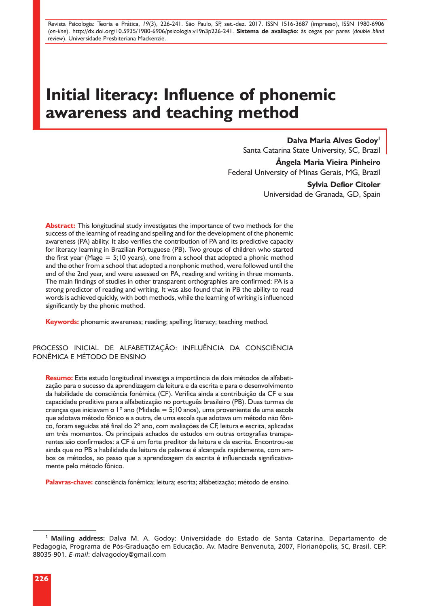Revista Psicologia: Teoria e Prática, *19*(3), 226-241. São Paulo, SP, set.-dez. 2017. ISSN 1516-3687 (impresso), ISSN 1980-6906 (*on-line*). http://dx.doi.org/10.5935/1980-6906/psicologia.v19n3p226-241. **Sistema de avaliação**: às cegas por pares (*double blind review*). Universidade Presbiteriana Mackenzie.

# **Initial literacy: Influence of phonemic awareness and teaching method**

#### **Dalva Maria Alves Godoy**

Santa Catarina State University, SC, Brazil

**Ângela Maria Vieira Pinheiro** Federal University of Minas Gerais, MG, Brazil

> **Sylvia Defior Citoler** Universidad de Granada, GD, Spain

**Abstract:** This longitudinal study investigates the importance of two methods for the success of the learning of reading and spelling and for the development of the phonemic awareness (PA) ability. It also verifies the contribution of PA and its predictive capacity for literacy learning in Brazilian Portuguese (PB). Two groups of children who started the first year (Mage  $= 5;10$  years), one from a school that adopted a phonic method and the other from a school that adopted a nonphonic method, were followed until the end of the 2nd year, and were assessed on PA, reading and writing in three moments. The main findings of studies in other transparent orthographies are confirmed: PA is a strong predictor of reading and writing. It was also found that in PB the ability to read words is achieved quickly, with both methods, while the learning of writing is influenced significantly by the phonic method.

**Keywords:** phonemic awareness; reading; spelling; literacy; teaching method.

PROCESSO INICIAL DE ALFABETIZAÇÃO: INFLUÊNCIA DA CONSCIÊNCIA FONÊMICA E MÉTODO DE ENSINO

**Resumo:** Este estudo longitudinal investiga a importância de dois métodos de alfabetização para o sucesso da aprendizagem da leitura e da escrita e para o desenvolvimento da habilidade de consciência fonêmica (CF). Verifica ainda a contribuição da CF e sua capacidade preditiva para a alfabetização no português brasileiro (PB). Duas turmas de crianças que iniciavam o 1º ano (Midade = 5;10 anos), uma proveniente de uma escola que adotava método fônico e a outra, de uma escola que adotava um método não fônico, foram seguidas até final do 2º ano, com avaliações de CF, leitura e escrita, aplicadas em três momentos. Os principais achados de estudos em outras ortografias transparentes são confirmados: a CF é um forte preditor da leitura e da escrita. Encontrou-se ainda que no PB a habilidade de leitura de palavras é alcançada rapidamente, com ambos os métodos, ao passo que a aprendizagem da escrita é influenciada significativamente pelo método fônico.

**Palavras-chave:** consciência fonêmica; leitura; escrita; alfabetização; método de ensino.

<sup>1</sup> **Mailing address:** Dalva M. A. Godoy: Universidade do Estado de Santa Catarina. Departamento de Pedagogia, Programa de Pós-Graduação em Educação. Av. Madre Benvenuta, 2007, Florianópolis, SC, Brasil. CEP: 88035-901. *E-mail*: dalvagodoy@gmail.com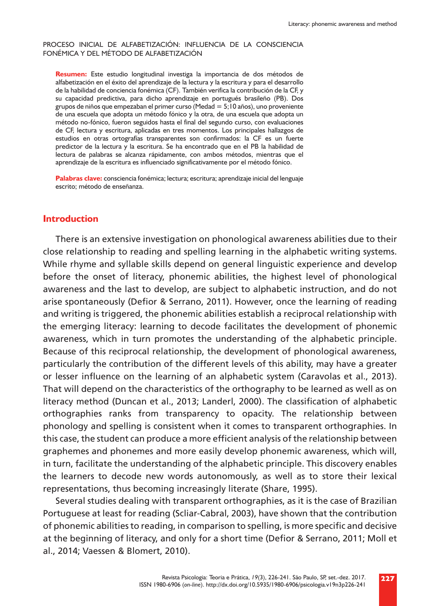#### PROCESO INICIAL DE ALFABETIZACIÓN: INFLUENCIA DE LA CONSCIENCIA FONÉMICA Y DEL MÉTODO DE ALFABETIZACIÓN

**Resumen:** Este estudio longitudinal investiga la importancia de dos métodos de alfabetización en el éxito del aprendizaje de la lectura y la escritura y para el desarrollo de la habilidad de conciencia fonémica (CF). También verifica la contribución de la CF, y su capacidad predictiva, para dicho aprendizaje en portugués brasileño (PB). Dos grupos de niños que empezaban el primer curso (Medad =  $5:10$  años), uno proveniente de una escuela que adopta un método fónico y la otra, de una escuela que adopta un método no-fónico, fueron seguidos hasta el final del segundo curso, con evaluaciones de CF, lectura y escritura, aplicadas en tres momentos. Los principales hallazgos de estudios en otras ortografías transparentes son confirmados: la CF es un fuerte predictor de la lectura y la escritura. Se ha encontrado que en el PB la habilidad de lectura de palabras se alcanza rápidamente, con ambos métodos, mientras que el aprendizaje de la escritura es influenciado significativamente por el método fónico.

**Palabras clave:** consciencia fonémica; lectura; escritura; aprendizaje inicial del lenguaje escrito; método de enseñanza.

#### **Introduction**

There is an extensive investigation on phonological awareness abilities due to their close relationship to reading and spelling learning in the alphabetic writing systems. While rhyme and syllable skills depend on general linguistic experience and develop before the onset of literacy, phonemic abilities, the highest level of phonological awareness and the last to develop, are subject to alphabetic instruction, and do not arise spontaneously (Defior & Serrano, 2011). However, once the learning of reading and writing is triggered, the phonemic abilities establish a reciprocal relationship with the emerging literacy: learning to decode facilitates the development of phonemic awareness, which in turn promotes the understanding of the alphabetic principle. Because of this reciprocal relationship, the development of phonological awareness, particularly the contribution of the different levels of this ability, may have a greater or lesser influence on the learning of an alphabetic system (Caravolas et al., 2013). That will depend on the characteristics of the orthography to be learned as well as on literacy method (Duncan et al., 2013; Landerl, 2000). The classification of alphabetic orthographies ranks from transparency to opacity. The relationship between phonology and spelling is consistent when it comes to transparent orthographies. In this case, the student can produce a more efficient analysis of the relationship between graphemes and phonemes and more easily develop phonemic awareness, which will, in turn, facilitate the understanding of the alphabetic principle. This discovery enables the learners to decode new words autonomously, as well as to store their lexical representations, thus becoming increasingly literate (Share, 1995).

Several studies dealing with transparent orthographies, as it is the case of Brazilian Portuguese at least for reading (Scliar-Cabral, 2003), have shown that the contribution of phonemic abilities to reading, in comparison to spelling, is more specific and decisive at the beginning of literacy, and only for a short time (Defior & Serrano, 2011; Moll et al., 2014; Vaessen & Blomert, 2010).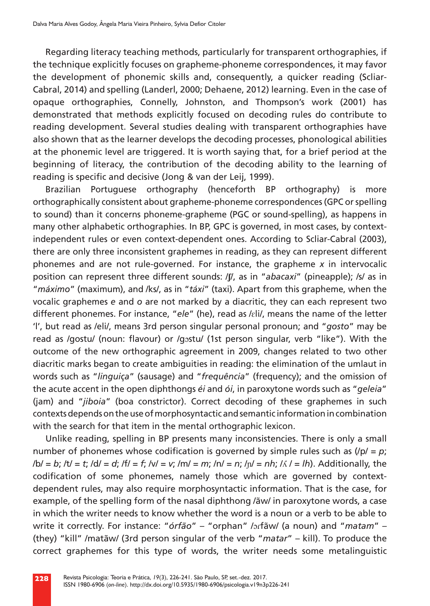Regarding literacy teaching methods, particularly for transparent orthographies, if the technique explicitly focuses on grapheme-phoneme correspondences, it may favor the development of phonemic skills and, consequently, a quicker reading (Scliar-Cabral, 2014) and spelling (Landerl, 2000; Dehaene, 2012) learning. Even in the case of opaque orthographies, Connelly, Johnston, and Thompson's work (2001) has demonstrated that methods explicitly focused on decoding rules do contribute to reading development. Several studies dealing with transparent orthographies have also shown that as the learner develops the decoding processes, phonological abilities at the phonemic level are triggered. It is worth saying that, for a brief period at the beginning of literacy, the contribution of the decoding ability to the learning of reading is specific and decisive (Jong & van der Leij, 1999).

Brazilian Portuguese orthography (henceforth BP orthography) is more orthographically consistent about grapheme-phoneme correspondences (GPC or spelling to sound) than it concerns phoneme-grapheme (PGC or sound-spelling), as happens in many other alphabetic orthographies. In BP, GPC is governed, in most cases, by contextindependent rules or even context-dependent ones. According to Scliar-Cabral (2003), there are only three inconsistent graphemes in reading, as they can represent different phonemes and are not rule-governed. For instance, the grapheme *x* in intervocalic position can represent three different sounds: /**ʃ**/, as in "*abacaxi*" (pineapple); /s/ as in "*máximo*" (maximum), and /ks/, as in "*táxi*" (taxi). Apart from this grapheme, when the vocalic graphemes *e* and *o* are not marked by a diacritic, they can each represent two different phonemes. For instance, "*ele*" (he), read as /ɛli/, means the name of the letter 'l', but read as /eli/, means 3rd person singular personal pronoun; and "*gosto*" may be read as /gostu/ (noun: flavour) or /gɔstu/ (1st person singular, verb "like"). With the outcome of the new orthographic agreement in 2009, changes related to two other diacritic marks began to create ambiguities in reading: the elimination of the umlaut in words such as "*linguiça*" (sausage) and "*frequência*" (frequency); and the omission of the acute accent in the open diphthongs *éi* and *ói*, in paroxytone words such as "*geleia*" (jam) and "*jiboia*" (boa constrictor). Correct decoding of these graphemes in such contexts depends on the use of morphosyntactic and semantic information in combination with the search for that item in the mental orthographic lexicon.

Unlike reading, spelling in BP presents many inconsistencies. There is only a small number of phonemes whose codification is governed by simple rules such as  $(yp) = p$ ; /b/ = *b*; /t/ = *t*; /d/ = *d*; /f/ = *f*; /v/ = *v*; /m/ = *m*; /n/ = *n*; /ɲ/ = *nh*; /ʎ / = *lh*). Additionally, the codification of some phonemes, namely those which are governed by contextdependent rules, may also require morphosyntactic information. That is the case, for example, of the spelling form of the nasal diphthong /ãw/ in paroxytone words, a case in which the writer needs to know whether the word is a noun or a verb to be able to write it correctly. For instance: "*órfão*" – "orphan" /ɔɾfãw/ (a noun) and "*matam*" – (they) "kill" /matãw/ (3rd person singular of the verb "*matar*" – kill). To produce the correct graphemes for this type of words, the writer needs some metalinguistic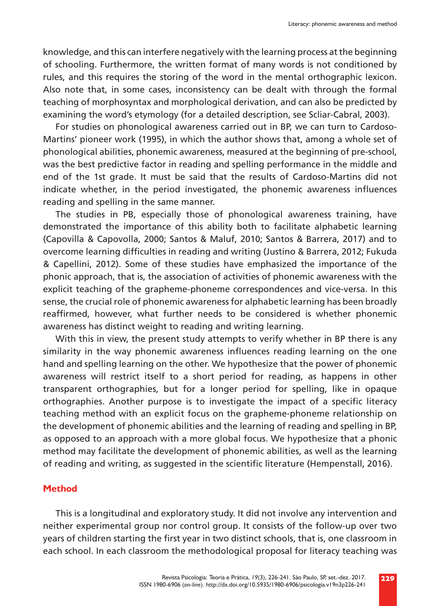knowledge, and this can interfere negatively with the learning process at the beginning of schooling. Furthermore, the written format of many words is not conditioned by rules, and this requires the storing of the word in the mental orthographic lexicon. Also note that, in some cases, inconsistency can be dealt with through the formal teaching of morphosyntax and morphological derivation, and can also be predicted by examining the word's etymology (for a detailed description, see Scliar-Cabral, 2003).

For studies on phonological awareness carried out in BP, we can turn to Cardoso-Martins' pioneer work (1995), in which the author shows that, among a whole set of phonological abilities, phonemic awareness, measured at the beginning of pre-school, was the best predictive factor in reading and spelling performance in the middle and end of the 1st grade. It must be said that the results of Cardoso-Martins did not indicate whether, in the period investigated, the phonemic awareness influences reading and spelling in the same manner.

The studies in PB, especially those of phonological awareness training, have demonstrated the importance of this ability both to facilitate alphabetic learning (Capovilla & Capovolla, 2000; Santos & Maluf, 2010; Santos & Barrera, 2017) and to overcome learning difficulties in reading and writing (Justino & Barrera, 2012; Fukuda & Capellini, 2012). Some of these studies have emphasized the importance of the phonic approach, that is, the association of activities of phonemic awareness with the explicit teaching of the grapheme-phoneme correspondences and vice-versa. In this sense, the crucial role of phonemic awareness for alphabetic learning has been broadly reaffirmed, however, what further needs to be considered is whether phonemic awareness has distinct weight to reading and writing learning.

With this in view, the present study attempts to verify whether in BP there is any similarity in the way phonemic awareness influences reading learning on the one hand and spelling learning on the other. We hypothesize that the power of phonemic awareness will restrict itself to a short period for reading, as happens in other transparent orthographies, but for a longer period for spelling, like in opaque orthographies. Another purpose is to investigate the impact of a specific literacy teaching method with an explicit focus on the grapheme-phoneme relationship on the development of phonemic abilities and the learning of reading and spelling in BP, as opposed to an approach with a more global focus. We hypothesize that a phonic method may facilitate the development of phonemic abilities, as well as the learning of reading and writing, as suggested in the scientific literature (Hempenstall, 2016).

#### **Method**

This is a longitudinal and exploratory study. It did not involve any intervention and neither experimental group nor control group. It consists of the follow-up over two years of children starting the first year in two distinct schools, that is, one classroom in each school. In each classroom the methodological proposal for literacy teaching was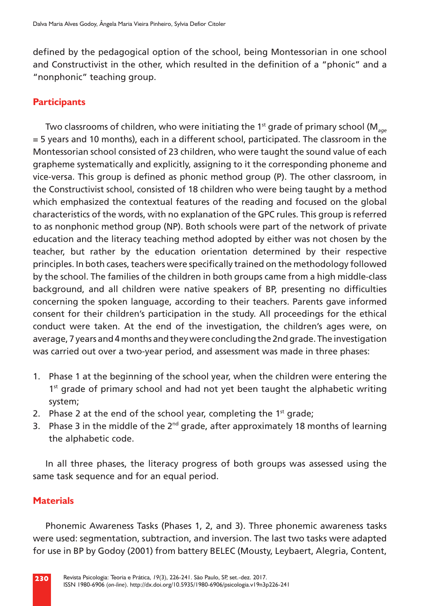defined by the pedagogical option of the school, being Montessorian in one school and Constructivist in the other, which resulted in the definition of a "phonic" and a "nonphonic" teaching group.

# **Participants**

Two classrooms of children, who were initiating the 1<sup>st</sup> grade of primary school (M<sub>age</sub> = 5 years and 10 months), each in a different school, participated. The classroom in the Montessorian school consisted of 23 children, who were taught the sound value of each grapheme systematically and explicitly, assigning to it the corresponding phoneme and vice-versa. This group is defined as phonic method group (P). The other classroom, in the Constructivist school, consisted of 18 children who were being taught by a method which emphasized the contextual features of the reading and focused on the global characteristics of the words, with no explanation of the GPC rules. This group is referred to as nonphonic method group (NP). Both schools were part of the network of private education and the literacy teaching method adopted by either was not chosen by the teacher, but rather by the education orientation determined by their respective principles. In both cases, teachers were specifically trained on the methodology followed by the school. The families of the children in both groups came from a high middle-class background, and all children were native speakers of BP, presenting no difficulties concerning the spoken language, according to their teachers. Parents gave informed consent for their children's participation in the study. All proceedings for the ethical conduct were taken. At the end of the investigation, the children's ages were, on average, 7 years and 4 months and they were concluding the 2nd grade. The investigation was carried out over a two-year period, and assessment was made in three phases:

- 1. Phase 1 at the beginning of the school year, when the children were entering the 1<sup>st</sup> grade of primary school and had not yet been taught the alphabetic writing system;
- 2. Phase 2 at the end of the school year, completing the  $1<sup>st</sup>$  grade;
- 3. Phase 3 in the middle of the  $2^{nd}$  grade, after approximately 18 months of learning the alphabetic code.

In all three phases, the literacy progress of both groups was assessed using the same task sequence and for an equal period.

# **Materials**

Phonemic Awareness Tasks (Phases 1, 2, and 3). Three phonemic awareness tasks were used: segmentation, subtraction, and inversion. The last two tasks were adapted for use in BP by Godoy (2001) from battery BELEC (Mousty, Leybaert, Alegria, Content,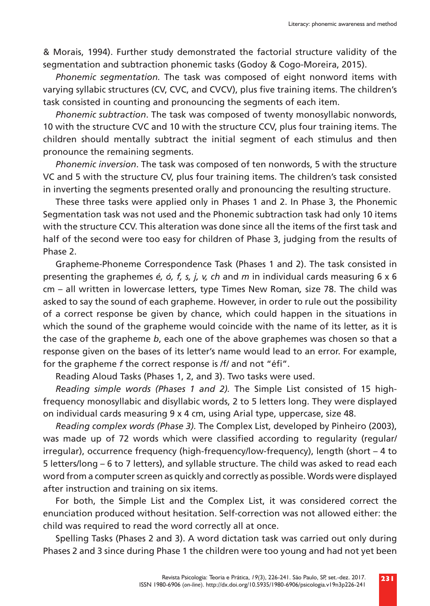& Morais, 1994). Further study demonstrated the factorial structure validity of the segmentation and subtraction phonemic tasks (Godoy & Cogo-Moreira, 2015).

*Phonemic segmentation.* The task was composed of eight nonword items with varying syllabic structures (CV, CVC, and CVCV), plus five training items. The children's task consisted in counting and pronouncing the segments of each item.

*Phonemic subtraction*. The task was composed of twenty monosyllabic nonwords, 10 with the structure CVC and 10 with the structure CCV, plus four training items. The children should mentally subtract the initial segment of each stimulus and then pronounce the remaining segments.

*Phonemic inversion*. The task was composed of ten nonwords, 5 with the structure VC and 5 with the structure CV, plus four training items. The children's task consisted in inverting the segments presented orally and pronouncing the resulting structure.

These three tasks were applied only in Phases 1 and 2. In Phase 3, the Phonemic Segmentation task was not used and the Phonemic subtraction task had only 10 items with the structure CCV. This alteration was done since all the items of the first task and half of the second were too easy for children of Phase 3, judging from the results of Phase 2.

Grapheme-Phoneme Correspondence Task (Phases 1 and 2). The task consisted in presenting the graphemes *é, ó, f, s, j, v, ch* and *m* in individual cards measuring 6 x 6 cm – all written in lowercase letters, type Times New Roman*,* size 78. The child was asked to say the sound of each grapheme. However, in order to rule out the possibility of a correct response be given by chance, which could happen in the situations in which the sound of the grapheme would coincide with the name of its letter, as it is the case of the grapheme *b*, each one of the above graphemes was chosen so that a response given on the bases of its letter's name would lead to an error. For example, for the grapheme *f* the correct response is /f/ and not "éfi".

Reading Aloud Tasks (Phases 1, 2, and 3). Two tasks were used.

*Reading simple words (Phases 1 and 2).* The Simple List consisted of 15 highfrequency monosyllabic and disyllabic words, 2 to 5 letters long. They were displayed on individual cards measuring 9 x 4 cm, using Arial type, uppercase, size 48.

*Reading complex words (Phase 3).* The Complex List, developed by Pinheiro (2003), was made up of 72 words which were classified according to regularity (regular/ irregular), occurrence frequency (high-frequency/low-frequency), length (short – 4 to 5 letters/long – 6 to 7 letters), and syllable structure. The child was asked to read each word from a computer screen as quickly and correctly as possible. Words were displayed after instruction and training on six items.

For both, the Simple List and the Complex List, it was considered correct the enunciation produced without hesitation. Self-correction was not allowed either: the child was required to read the word correctly all at once.

Spelling Tasks (Phases 2 and 3). A word dictation task was carried out only during Phases 2 and 3 since during Phase 1 the children were too young and had not yet been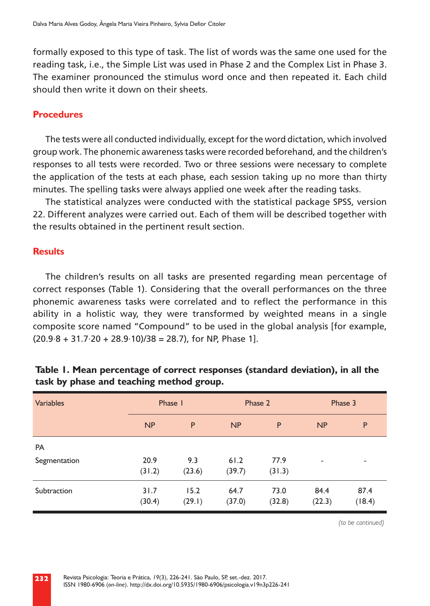formally exposed to this type of task. The list of words was the same one used for the reading task, i.e., the Simple List was used in Phase 2 and the Complex List in Phase 3. The examiner pronounced the stimulus word once and then repeated it. Each child should then write it down on their sheets.

#### **Procedures**

The tests were all conducted individually, except for the word dictation, which involved group work. The phonemic awareness tasks were recorded beforehand, and the children's responses to all tests were recorded. Two or three sessions were necessary to complete the application of the tests at each phase, each session taking up no more than thirty minutes. The spelling tasks were always applied one week after the reading tasks.

The statistical analyzes were conducted with the statistical package SPSS, version 22. Different analyzes were carried out. Each of them will be described together with the results obtained in the pertinent result section.

#### **Results**

The children's results on all tasks are presented regarding mean percentage of correct responses (Table 1). Considering that the overall performances on the three phonemic awareness tasks were correlated and to reflect the performance in this ability in a holistic way, they were transformed by weighted means in a single composite score named "Compound" to be used in the global analysis [for example,  $(20.9.8 + 31.7.20 + 28.9.10)/38 = 28.7$ , for NP, Phase 1].

| <b>Variables</b> | Phase I        |                |                | Phase 2        | Phase 3                  |                          |  |
|------------------|----------------|----------------|----------------|----------------|--------------------------|--------------------------|--|
|                  | NP             | P              | NP             | P              | NP                       | P                        |  |
| <b>PA</b>        |                |                |                |                |                          |                          |  |
| Segmentation     | 20.9<br>(31.2) | 9.3<br>(23.6)  | 61.2<br>(39.7) | 77.9<br>(31.3) | $\overline{\phantom{a}}$ | $\overline{\phantom{a}}$ |  |
| Subtraction      | 31.7<br>(30.4) | 15.2<br>(29.1) | 64.7<br>(37.0) | 73.0<br>(32.8) | 84.4<br>(22.3)           | 87.4<br>(18.4)           |  |

# **Table 1. Mean percentage of correct responses (standard deviation), in all the task by phase and teaching method group.**

*(to be continued)*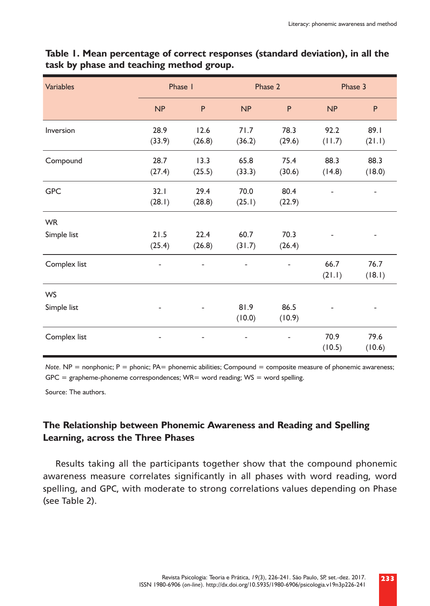| <b>Variables</b> | Phase 1        |                | Phase 2                          |                | Phase 3        |                |  |
|------------------|----------------|----------------|----------------------------------|----------------|----------------|----------------|--|
|                  | NP             | P              | NP                               | P              | NP             | P              |  |
| Inversion        | 28.9<br>(33.9) | 12.6<br>(26.8) | 71.7<br>(36.2)                   | 78.3<br>(29.6) | 92.2<br>(11.7) | 89.1<br>(21.1) |  |
| Compound         | 28.7<br>(27.4) | 13.3<br>(25.5) | 65.8<br>(33.3)                   | 75.4<br>(30.6) | 88.3<br>(14.8) | 88.3<br>(18.0) |  |
| <b>GPC</b>       | 32.1<br>(28.1) | 29.4<br>(28.8) | 70.0<br>80.4<br>(25.1)<br>(22.9) |                |                |                |  |
| <b>WR</b>        |                |                |                                  |                |                |                |  |
| Simple list      | 21.5<br>(25.4) | 22.4<br>(26.8) | 60.7<br>(31.7)                   | 70.3<br>(26.4) |                |                |  |
| Complex list     |                |                |                                  |                | 66.7<br>(21.1) | 76.7<br>(18.1) |  |
| <b>WS</b>        |                |                |                                  |                |                |                |  |
| Simple list      |                |                | 81.9<br>(10.0)                   | 86.5<br>(10.9) |                |                |  |
| Complex list     |                |                |                                  |                | 70.9<br>(10.5) | 79.6<br>(10.6) |  |

### **Table 1. Mean percentage of correct responses (standard deviation), in all the task by phase and teaching method group.**

*Note.* NP = nonphonic; P = phonic; PA= phonemic abilities; Compound = composite measure of phonemic awareness;  $GPC =$  grapheme-phoneme correspondences; WR= word reading; WS = word spelling.

Source: The authors.

# **The Relationship between Phonemic Awareness and Reading and Spelling Learning, across the Three Phases**

Results taking all the participants together show that the compound phonemic awareness measure correlates significantly in all phases with word reading, word spelling, and GPC, with moderate to strong correlations values depending on Phase (see Table 2).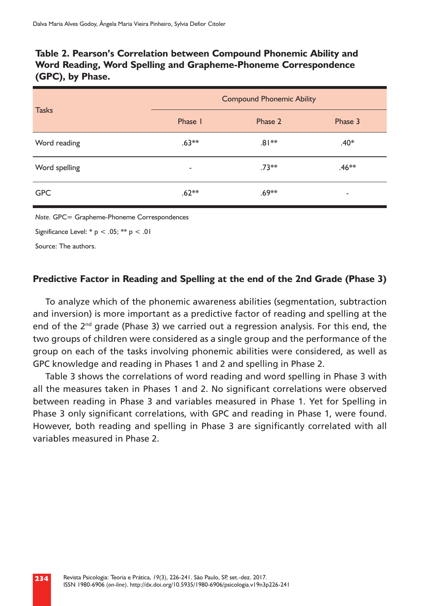# **Table 2. Pearson's Correlation between Compound Phonemic Ability and Word Reading, Word Spelling and Grapheme-Phoneme Correspondence (GPC), by Phase.**

| <b>Tasks</b>  | <b>Compound Phonemic Ability</b> |          |          |  |  |  |  |
|---------------|----------------------------------|----------|----------|--|--|--|--|
|               | Phase I                          | Phase 2  | Phase 3  |  |  |  |  |
| Word reading  | $.63***$                         | $.81**$  | $.40*$   |  |  |  |  |
| Word spelling | $\overline{\phantom{a}}$         | $.73***$ | $.46***$ |  |  |  |  |
| <b>GPC</b>    | $.62**$                          | $.69***$ | ۰        |  |  |  |  |

*Note.* GPC= Grapheme-Phoneme Correspondences

Significance Level:  $* p < .05$ ;  $** p < .01$ 

Source: The authors.

#### **Predictive Factor in Reading and Spelling at the end of the 2nd Grade (Phase 3)**

To analyze which of the phonemic awareness abilities (segmentation, subtraction and inversion) is more important as a predictive factor of reading and spelling at the end of the  $2<sup>nd</sup>$  grade (Phase 3) we carried out a regression analysis. For this end, the two groups of children were considered as a single group and the performance of the group on each of the tasks involving phonemic abilities were considered, as well as GPC knowledge and reading in Phases 1 and 2 and spelling in Phase 2.

Table 3 shows the correlations of word reading and word spelling in Phase 3 with all the measures taken in Phases 1 and 2. No significant correlations were observed between reading in Phase 3 and variables measured in Phase 1. Yet for Spelling in Phase 3 only significant correlations, with GPC and reading in Phase 1, were found. However, both reading and spelling in Phase 3 are significantly correlated with all variables measured in Phase 2.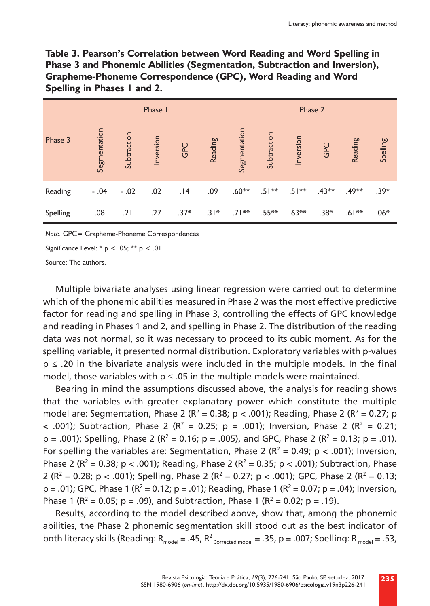**Table 3. Pearson's Correlation between Word Reading and Word Spelling in Phase 3 and Phonemic Abilities (Segmentation, Subtraction and Inversion), Grapheme-Phoneme Correspondence (GPC), Word Reading and Word Spelling in Phases 1 and 2.**

| Phase 3  | Phase I      |             |           |        | Phase 2 |              |             |           |         |          |          |
|----------|--------------|-------------|-----------|--------|---------|--------------|-------------|-----------|---------|----------|----------|
|          | Segmentation | Subtraction | Inversion | GPC    | Reading | Segmentation | Subtraction | Inversion | GPC     | Reading  | Spelling |
| Reading  | $-.04$       | $-.02$      | .02       | 14.    | .09     | $.60**$      | $.51***$    | $.51***$  | $.43**$ | $.49***$ | $.39*$   |
| Spelling | .08          | .21         | .27       | $.37*$ | $.31*$  | $.71***$     | $.55***$    | $.63**$   | $.38*$  | $.61***$ | $.06*$   |

*Note.* GPC= Grapheme-Phoneme Correspondences

Significance Level:  $* p < .05$ ;  $** p < .01$ 

Source: The authors.

Multiple bivariate analyses using linear regression were carried out to determine which of the phonemic abilities measured in Phase 2 was the most effective predictive factor for reading and spelling in Phase 3, controlling the effects of GPC knowledge and reading in Phases 1 and 2, and spelling in Phase 2. The distribution of the reading data was not normal, so it was necessary to proceed to its cubic moment. As for the spelling variable, it presented normal distribution. Exploratory variables with p-values p ≤ .20 in the bivariate analysis were included in the multiple models. In the final model, those variables with  $p \le 0.05$  in the multiple models were maintained.

Bearing in mind the assumptions discussed above, the analysis for reading shows that the variables with greater explanatory power which constitute the multiple model are: Segmentation, Phase 2 ( $R^2 = 0.38$ ; p < .001); Reading, Phase 2 ( $R^2 = 0.27$ ; p < .001); Subtraction, Phase 2 ( $R^2 = 0.25$ ; p = .001); Inversion, Phase 2 ( $R^2 = 0.21$ ;  $p = .001$ ); Spelling, Phase 2 (R<sup>2</sup> = 0.16;  $p = .005$ ), and GPC, Phase 2 (R<sup>2</sup> = 0.13;  $p = .01$ ). For spelling the variables are: Segmentation, Phase 2 ( $R^2 = 0.49$ ; p < .001); Inversion, Phase 2 ( $R^2$  = 0.38; p < .001); Reading, Phase 2 ( $R^2$  = 0.35; p < .001); Subtraction, Phase 2 ( $R^2$  = 0.28; p < .001); Spelling, Phase 2 ( $R^2$  = 0.27; p < .001); GPC, Phase 2 ( $R^2$  = 0.13;  $p = .01$ ); GPC, Phase 1 (R<sup>2</sup> = 0.12; p = .01); Reading, Phase 1 (R<sup>2</sup> = 0.07; p = .04); Inversion, Phase 1 ( $R^2$  = 0.05; p = .09), and Subtraction, Phase 1 ( $R^2$  = 0.02; p = .19).

Results, according to the model described above, show that, among the phonemic abilities, the Phase 2 phonemic segmentation skill stood out as the best indicator of both literacy skills (Reading: R<sub>model</sub> = .45, R<sup>2</sup> <sub>Corrected model</sub> = .35, p = .007; Spelling: R<sub>model</sub> = .53,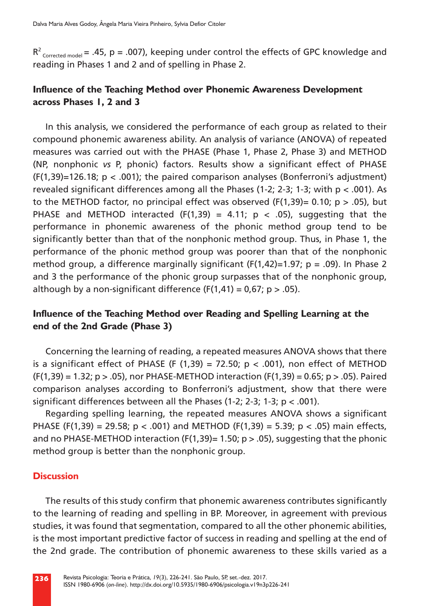$R^2$ <sub>Corrected model</sub> = .45,  $p$  = .007), keeping under control the effects of GPC knowledge and reading in Phases 1 and 2 and of spelling in Phase 2.

### **Influence of the Teaching Method over Phonemic Awareness Development across Phases 1, 2 and 3**

In this analysis, we considered the performance of each group as related to their compound phonemic awareness ability. An analysis of variance (ANOVA) of repeated measures was carried out with the PHASE (Phase 1, Phase 2, Phase 3) and METHOD (NP, nonphonic *vs* P, phonic) factors. Results show a significant effect of PHASE  $(F(1,39)=126.18; p < .001)$ ; the paired comparison analyses (Bonferroni's adjustment) revealed significant differences among all the Phases (1-2; 2-3; 1-3; with  $p < .001$ ). As to the METHOD factor, no principal effect was observed ( $F(1,39) = 0.10$ ; p  $> .05$ ), but PHASE and METHOD interacted (F(1,39) = 4.11;  $p \lt 0.05$ ), suggesting that the performance in phonemic awareness of the phonic method group tend to be significantly better than that of the nonphonic method group. Thus, in Phase 1, the performance of the phonic method group was poorer than that of the nonphonic method group, a difference marginally significant  $(F(1,42)=1.97; p = .09)$ . In Phase 2 and 3 the performance of the phonic group surpasses that of the nonphonic group, although by a non-significant difference  $(F(1,41) = 0.67; p > .05)$ .

# **Influence of the Teaching Method over Reading and Spelling Learning at the end of the 2nd Grade (Phase 3)**

Concerning the learning of reading, a repeated measures ANOVA shows that there is a significant effect of PHASE (F  $(1,39) = 72.50$ ; p < .001), non effect of METHOD  $(F(1,39) = 1.32; p > .05)$ , nor PHASE-METHOD interaction  $(F(1,39) = 0.65; p > .05)$ . Paired comparison analyses according to Bonferroni's adjustment, show that there were significant differences between all the Phases  $(1-2; 2-3; 1-3; p < .001)$ .

Regarding spelling learning, the repeated measures ANOVA shows a significant PHASE (F(1,39) = 29.58;  $p < .001$ ) and METHOD (F(1,39) = 5.39;  $p < .05$ ) main effects, and no PHASE-METHOD interaction (F(1,39)= 1.50;  $p > .05$ ), suggesting that the phonic method group is better than the nonphonic group.

#### **Discussion**

The results of this study confirm that phonemic awareness contributes significantly to the learning of reading and spelling in BP. Moreover, in agreement with previous studies, it was found that segmentation, compared to all the other phonemic abilities, is the most important predictive factor of success in reading and spelling at the end of the 2nd grade. The contribution of phonemic awareness to these skills varied as a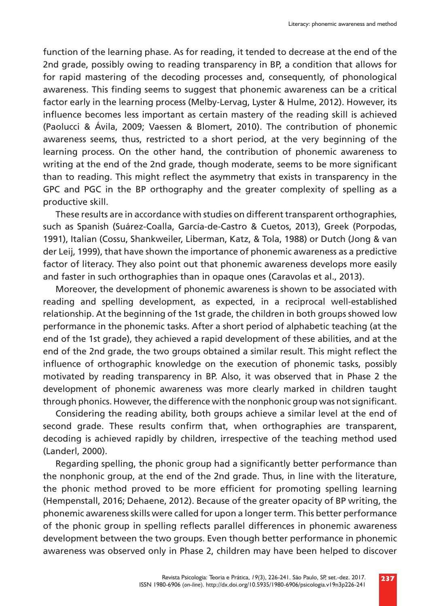function of the learning phase. As for reading, it tended to decrease at the end of the 2nd grade, possibly owing to reading transparency in BP, a condition that allows for for rapid mastering of the decoding processes and, consequently, of phonological awareness. This finding seems to suggest that phonemic awareness can be a critical factor early in the learning process (Melby-Lervag, Lyster & Hulme, 2012). However, its influence becomes less important as certain mastery of the reading skill is achieved (Paolucci & Ávila, 2009; Vaessen & Blomert, 2010). The contribution of phonemic awareness seems, thus, restricted to a short period, at the very beginning of the learning process. On the other hand, the contribution of phonemic awareness to writing at the end of the 2nd grade, though moderate, seems to be more significant than to reading. This might reflect the asymmetry that exists in transparency in the GPC and PGC in the BP orthography and the greater complexity of spelling as a productive skill.

These results are in accordance with studies on different transparent orthographies, such as Spanish (Suárez-Coalla, García-de-Castro & Cuetos, 2013), Greek (Porpodas, 1991), Italian (Cossu, Shankweiler, Liberman, Katz, & Tola, 1988) or Dutch (Jong & van der Leij, 1999), that have shown the importance of phonemic awareness as a predictive factor of literacy. They also point out that phonemic awareness develops more easily and faster in such orthographies than in opaque ones (Caravolas et al., 2013).

Moreover, the development of phonemic awareness is shown to be associated with reading and spelling development, as expected, in a reciprocal well-established relationship. At the beginning of the 1st grade, the children in both groups showed low performance in the phonemic tasks. After a short period of alphabetic teaching (at the end of the 1st grade), they achieved a rapid development of these abilities, and at the end of the 2nd grade, the two groups obtained a similar result. This might reflect the influence of orthographic knowledge on the execution of phonemic tasks, possibly motivated by reading transparency in BP. Also, it was observed that in Phase 2 the development of phonemic awareness was more clearly marked in children taught through phonics. However, the difference with the nonphonic group was not significant.

Considering the reading ability, both groups achieve a similar level at the end of second grade. These results confirm that, when orthographies are transparent, decoding is achieved rapidly by children, irrespective of the teaching method used (Landerl, 2000).

Regarding spelling, the phonic group had a significantly better performance than the nonphonic group, at the end of the 2nd grade. Thus, in line with the literature, the phonic method proved to be more efficient for promoting spelling learning (Hempenstall, 2016; Dehaene, 2012). Because of the greater opacity of BP writing, the phonemic awareness skills were called for upon a longer term. This better performance of the phonic group in spelling reflects parallel differences in phonemic awareness development between the two groups. Even though better performance in phonemic awareness was observed only in Phase 2, children may have been helped to discover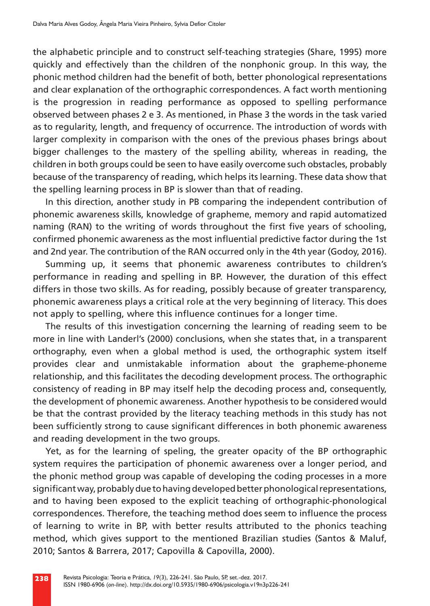the alphabetic principle and to construct self-teaching strategies (Share, 1995) more quickly and effectively than the children of the nonphonic group. In this way, the phonic method children had the benefit of both, better phonological representations and clear explanation of the orthographic correspondences. A fact worth mentioning is the progression in reading performance as opposed to spelling performance observed between phases 2 e 3. As mentioned, in Phase 3 the words in the task varied as to regularity, length, and frequency of occurrence. The introduction of words with larger complexity in comparison with the ones of the previous phases brings about bigger challenges to the mastery of the spelling ability, whereas in reading, the children in both groups could be seen to have easily overcome such obstacles, probably because of the transparency of reading, which helps its learning. These data show that the spelling learning process in BP is slower than that of reading.

In this direction, another study in PB comparing the independent contribution of phonemic awareness skills, knowledge of grapheme, memory and rapid automatized naming (RAN) to the writing of words throughout the first five years of schooling, confirmed phonemic awareness as the most influential predictive factor during the 1st and 2nd year. The contribution of the RAN occurred only in the 4th year (Godoy, 2016).

Summing up, it seems that phonemic awareness contributes to children's performance in reading and spelling in BP. However, the duration of this effect differs in those two skills. As for reading, possibly because of greater transparency, phonemic awareness plays a critical role at the very beginning of literacy. This does not apply to spelling, where this influence continues for a longer time.

The results of this investigation concerning the learning of reading seem to be more in line with Landerl's (2000) conclusions, when she states that, in a transparent orthography, even when a global method is used, the orthographic system itself provides clear and unmistakable information about the grapheme-phoneme relationship, and this facilitates the decoding development process. The orthographic consistency of reading in BP may itself help the decoding process and, consequently, the development of phonemic awareness. Another hypothesis to be considered would be that the contrast provided by the literacy teaching methods in this study has not been sufficiently strong to cause significant differences in both phonemic awareness and reading development in the two groups.

Yet, as for the learning of speling, the greater opacity of the BP orthographic system requires the participation of phonemic awareness over a longer period, and the phonic method group was capable of developing the coding processes in a more significant way, probably due to having developed better phonological representations, and to having been exposed to the explicit teaching of orthographic-phonological correspondences. Therefore, the teaching method does seem to influence the process of learning to write in BP, with better results attributed to the phonics teaching method, which gives support to the mentioned Brazilian studies (Santos & Maluf, 2010; Santos & Barrera, 2017; Capovilla & Capovilla, 2000).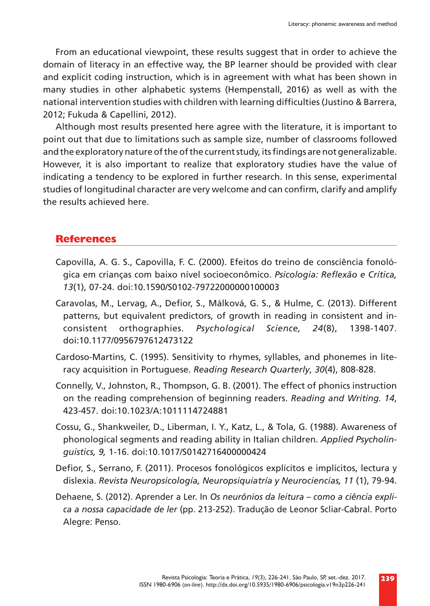From an educational viewpoint, these results suggest that in order to achieve the domain of literacy in an effective way, the BP learner should be provided with clear and explicit coding instruction, which is in agreement with what has been shown in many studies in other alphabetic systems (Hempenstall, 2016) as well as with the national intervention studies with children with learning difficulties (Justino & Barrera, 2012; Fukuda & Capellini, 2012).

Although most results presented here agree with the literature, it is important to point out that due to limitations such as sample size, number of classrooms followed and the exploratory nature of the of the current study, its findings are not generalizable. However, it is also important to realize that exploratory studies have the value of indicating a tendency to be explored in further research. In this sense, experimental studies of longitudinal character are very welcome and can confirm, clarify and amplify the results achieved here.

#### **References**

- Capovilla, A. G. S., Capovilla, F. C. (2000). Efeitos do treino de consciência fonológica em crianças com baixo nível socioeconômico. *Psicologia: Reflexão e Crítica, 13*(1), 07-24. doi:10.1590/S0102-79722000000100003
- Caravolas, M., Lervag, A., Defior, S., Málková, G. S., & Hulme, C. (2013). Different patterns, but equivalent predictors, of growth in reading in consistent and inconsistent orthographies. *Psychological Science, 24*(8), 1398-1407. doi:10.1177/0956797612473122
- Cardoso-Martins, C. (1995). Sensitivity to rhymes, syllables, and phonemes in literacy acquisition in Portuguese. *Reading Research Quarterly*, *30*(4), 808-828.
- Connelly, V., Johnston, R., Thompson, G. B. (2001). The effect of phonics instruction on the reading comprehension of beginning readers. *Reading and Writing. 14*, 423-457. doi:10.1023/A:1011114724881
- Cossu, G., Shankweiler, D., Liberman, I. Y., Katz, L., & Tola, G. (1988). Awareness of phonological segments and reading ability in Italian children. *Applied Psycholinguistics, 9,* 1-16. doi:10.1017/S0142716400000424
- Defior, S., Serrano, F. (2011). Procesos fonológicos explícitos e implícitos, lectura y dislexia. *Revista Neuropsicología, Neuropsiquiatría y Neurociencias, 11* (1), 79-94.
- Dehaene, S. (2012). Aprender a Ler. In *Os neurônios da leitura como a ciência explica a nossa capacidade de ler* (pp. 213-252). Tradução de Leonor Scliar-Cabral. Porto Alegre: Penso.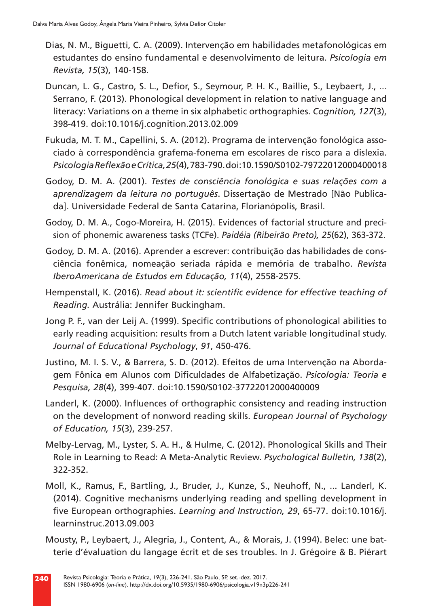- Dias, N. M., Biguetti, C. A. (2009). Intervenção em habilidades metafonológicas em estudantes do ensino fundamental e desenvolvimento de leitura. *Psicologia em Revista, 15*(3), 140-158.
- Duncan, L. G., Castro, S. L., Defior, S., Seymour, P. H. K., Baillie, S., Leybaert, J., ... Serrano, F. (2013). Phonological development in relation to native language and literacy: Variations on a theme in six alphabetic orthographies. *Cognition, 127*(3), 398-419. doi:10.1016/j.cognition.2013.02.009
- Fukuda, M. T. M., Capellini, S. A. (2012). Programa de intervenção fonológica associado à correspondência grafema-fonema em escolares de risco para a dislexia. *Psicologia Reflexão e Crítica, 25*(4), 783-790. doi:10.1590/S0102-79722012000400018
- Godoy, D. M. A. (2001). *Testes de consciência fonológica e suas relações com a aprendizagem da leitura no português*. Dissertação de Mestrado [Não Publicada]. Universidade Federal de Santa Catarina, Florianópolis, Brasil.
- Godoy, D. M. A., Cogo-Moreira, H. (2015). Evidences of factorial structure and precision of phonemic awareness tasks (TCFe). *Paidéia (Ribeirão Preto), 25*(62), 363-372.
- Godoy, D. M. A. (2016). Aprender a escrever: contribuição das habilidades de consciência fonêmica, nomeação seriada rápida e memória de trabalho. *Revista IberoAmericana de Estudos em Educação, 11*(4), 2558-2575.
- Hempenstall, K. (2016). *Read about it: scientific evidence for effective teaching of Reading.* Austrália: Jennifer Buckingham.
- Jong P. F., van der Leij A. (1999). Specific contributions of phonological abilities to early reading acquisition: results from a Dutch latent variable longitudinal study. *Journal of Educational Psychology*, *91*, 450-476.
- Justino, M. I. S. V., & Barrera, S. D. (2012). Efeitos de uma Intervenção na Abordagem Fônica em Alunos com Dificuldades de Alfabetização. *Psicologia: Teoria e Pesquisa, 28*(4), 399-407. doi:10.1590/S0102-37722012000400009
- Landerl, K. (2000). Influences of orthographic consistency and reading instruction on the development of nonword reading skills. *European Journal of Psychology of Education, 15*(3), 239-257.
- Melby-Lervag, M., Lyster, S. A. H., & Hulme, C. (2012). Phonological Skills and Their Role in Learning to Read: A Meta-Analytic Review. *Psychological Bulletin, 138*(2), 322-352.
- Moll, K., Ramus, F., Bartling, J., Bruder, J., Kunze, S., Neuhoff, N., ... Landerl, K. (2014). Cognitive mechanisms underlying reading and spelling development in five European orthographies. *Learning and Instruction, 29*, 65-77. doi:10.1016/j. learninstruc.2013.09.003
- Mousty, P., Leybaert, J., Alegria, J., Content, A., & Morais, J. (1994). Belec: une batterie d'évaluation du langage écrit et de ses troubles. In J. Grégoire & B. Piérart